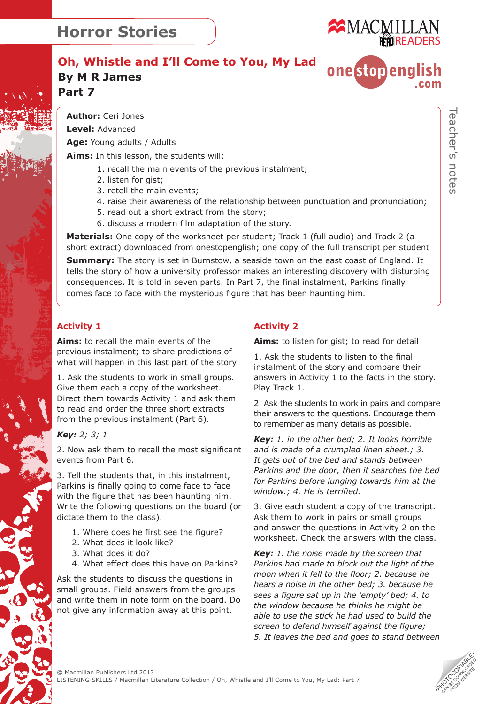

onestopenalish

## **Oh, Whistle and I'll Come to You, My Lad By M R James Part 7**

**Author:** Ceri Jones **Level:** Advanced

**Age:** Young adults / Adults

**Aims:** In this lesson, the students will:

- 1. recall the main events of the previous instalment;
- 2. listen for gist;
- 3. retell the main events;
- 4. raise their awareness of the relationship between punctuation and pronunciation;
- 5. read out a short extract from the story;
- 6. discuss a modern film adaptation of the story.

**Materials:** One copy of the worksheet per student; Track 1 (full audio) and Track 2 (a short extract) downloaded from onestopenglish; one copy of the full transcript per student

**Summary:** The story is set in Burnstow, a seaside town on the east coast of England. It tells the story of how a university professor makes an interesting discovery with disturbing consequences. It is told in seven parts. In Part 7, the final instalment, Parkins finally comes face to face with the mysterious figure that has been haunting him.

### **Activity 1**

**Aims:** to recall the main events of the previous instalment; to share predictions of what will happen in this last part of the story

1. Ask the students to work in small groups. Give them each a copy of the worksheet. Direct them towards Activity 1 and ask them to read and order the three short extracts from the previous instalment (Part 6).

#### *Key: 2; 3; 1*

2. Now ask them to recall the most significant events from Part 6.

3. Tell the students that, in this instalment, Parkins is finally going to come face to face with the figure that has been haunting him. Write the following questions on the board (or dictate them to the class).

- 1. Where does he first see the figure?
- 2. What does it look like?
- 3. What does it do?
- 4. What effect does this have on Parkins?

Ask the students to discuss the questions in small groups. Field answers from the groups and write them in note form on the board. Do not give any information away at this point.

#### **Activity 2**

**Aims:** to listen for gist; to read for detail

1. Ask the students to listen to the final instalment of the story and compare their answers in Activity 1 to the facts in the story. Play Track 1.

2. Ask the students to work in pairs and compare their answers to the questions. Encourage them to remember as many details as possible.

*Key: 1. in the other bed; 2. It looks horrible and is made of a crumpled linen sheet.; 3. It gets out of the bed and stands between Parkins and the door, then it searches the bed for Parkins before lunging towards him at the window.; 4. He is terrified.* 

3. Give each student a copy of the transcript. Ask them to work in pairs or small groups and answer the questions in Activity 2 on the worksheet. Check the answers with the class.

*Key: 1. the noise made by the screen that Parkins had made to block out the light of the moon when it fell to the floor; 2. because he hears a noise in the other bed; 3. because he sees a figure sat up in the 'empty' bed; 4. to the window because he thinks he might be able to use the stick he had used to build the screen to defend himself against the figure; 5. It leaves the bed and goes to stand between* 

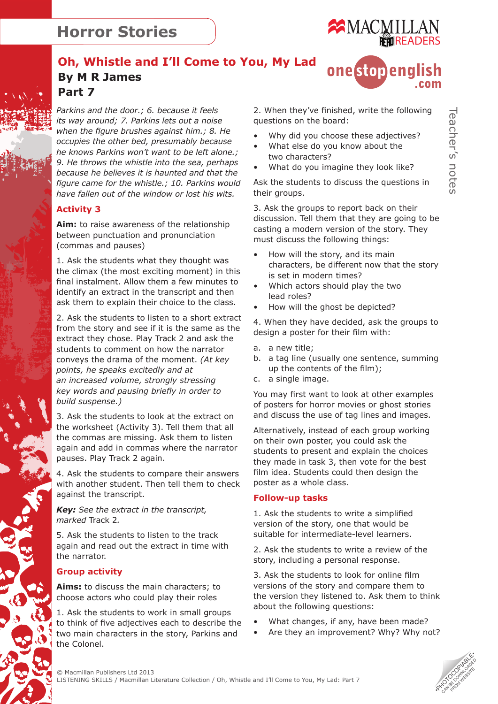

## **Oh, Whistle and I'll Come to You, My Lad By M R James Part 7**

*Parkins and the door.; 6. because it feels its way around; 7. Parkins lets out a noise when the figure brushes against him.; 8. He occupies the other bed, presumably because he knows Parkins won't want to be left alone.; 9. He throws the whistle into the sea, perhaps because he believes it is haunted and that the figure came for the whistle.; 10. Parkins would have fallen out of the window or lost his wits.*

#### **Activity 3**

**Aim:** to raise awareness of the relationship between punctuation and pronunciation (commas and pauses)

1. Ask the students what they thought was the climax (the most exciting moment) in this final instalment. Allow them a few minutes to identify an extract in the transcript and then ask them to explain their choice to the class.

2. Ask the students to listen to a short extract from the story and see if it is the same as the extract they chose. Play Track 2 and ask the students to comment on how the narrator conveys the drama of the moment. *(At key points, he speaks excitedly and at an increased volume, strongly stressing key words and pausing briefly in order to build suspense.)*

3. Ask the students to look at the extract on the worksheet (Activity 3). Tell them that all the commas are missing. Ask them to listen again and add in commas where the narrator pauses. Play Track 2 again.

4. Ask the students to compare their answers with another student. Then tell them to check against the transcript.

*Key: See the extract in the transcript, marked* Track 2*.*

5. Ask the students to listen to the track again and read out the extract in time with the narrator.

#### **Group activity**

**Aims:** to discuss the main characters; to choose actors who could play their roles

1. Ask the students to work in small groups to think of five adjectives each to describe the two main characters in the story, Parkins and the Colonel.

Teacher's notes

Teacher's note

2. When they've finished, write the following questions on the board:

- Why did you choose these adjectives?
- What else do you know about the two characters?
- What do you imagine they look like?

Ask the students to discuss the questions in their groups.

3. Ask the groups to report back on their discussion. Tell them that they are going to be casting a modern version of the story. They must discuss the following things:

- How will the story, and its main characters, be different now that the story is set in modern times?
- Which actors should play the two lead roles?
- How will the ghost be depicted?

4. When they have decided, ask the groups to design a poster for their film with:

- a. a new title;
- b. a tag line (usually one sentence, summing up the contents of the film);
- c. a single image.

You may first want to look at other examples of posters for horror movies or ghost stories and discuss the use of tag lines and images.

Alternatively, instead of each group working on their own poster, you could ask the students to present and explain the choices they made in task 3, then vote for the best film idea. Students could then design the poster as a whole class.

#### **Follow-up tasks**

1. Ask the students to write a simplified version of the story, one that would be suitable for intermediate-level learners.

2. Ask the students to write a review of the story, including a personal response.

3. Ask the students to look for online film versions of the story and compare them to the version they listened to. Ask them to think about the following questions:

- What changes, if any, have been made?
- Are they an improvement? Why? Why not?

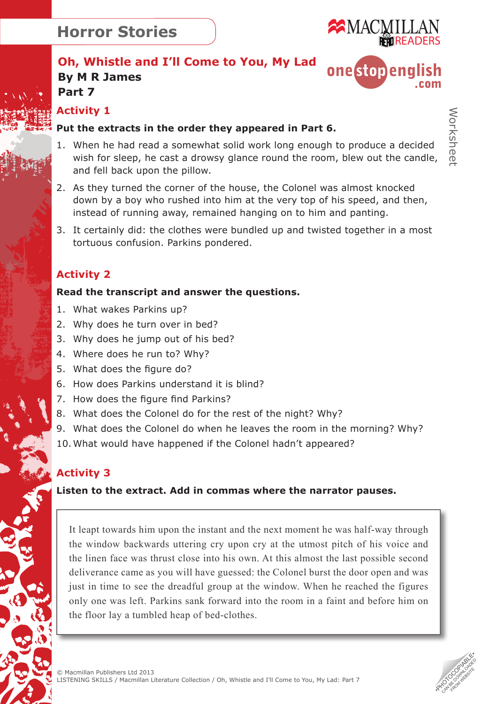

### **Oh, Whistle and I'll Come to You, My Lad By M R James Part 7**



### **Activity 1**

#### **Put the extracts in the order they appeared in Part 6.**

- 1. When he had read a somewhat solid work long enough to produce a decided wish for sleep, he cast a drowsy glance round the room, blew out the candle, and fell back upon the pillow.
- 2. As they turned the corner of the house, the Colonel was almost knocked down by a boy who rushed into him at the very top of his speed, and then, instead of running away, remained hanging on to him and panting.
- 3. It certainly did: the clothes were bundled up and twisted together in a most tortuous confusion. Parkins pondered.

## **Activity 2**

#### **Read the transcript and answer the questions.**

- 1. What wakes Parkins up?
- 2. Why does he turn over in bed?
- 3. Why does he jump out of his bed?
- 4. Where does he run to? Why?
- 5. What does the figure do?
- 6. How does Parkins understand it is blind?
- 7. How does the figure find Parkins?
- 8. What does the Colonel do for the rest of the night? Why?
- 9. What does the Colonel do when he leaves the room in the morning? Why?
- 10.What would have happened if the Colonel hadn't appeared?

## **Activity 3**

### **Listen to the extract. Add in commas where the narrator pauses.**

It leapt towards him upon the instant and the next moment he was half-way through the window backwards uttering cry upon cry at the utmost pitch of his voice and the linen face was thrust close into his own. At this almost the last possible second deliverance came as you will have guessed: the Colonel burst the door open and was just in time to see the dreadful group at the window. When he reached the figures only one was left. Parkins sank forward into the room in a faint and before him on the floor lay a tumbled heap of bed-clothes.

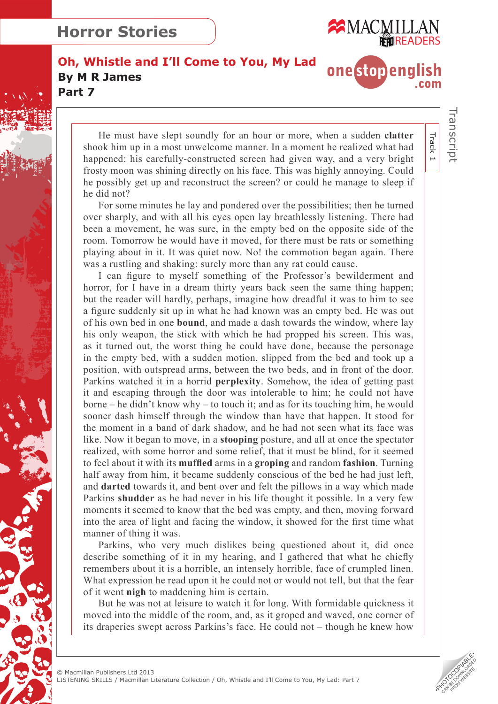

### **Oh, Whistle and I'll Come to You, My Lad By M R James Part 7**

# onestopenalish  $com$

He must have slept soundly for an hour or more, when a sudden **clatter** shook him up in a most unwelcome manner. In a moment he realized what had happened: his carefully-constructed screen had given way, and a very bright frosty moon was shining directly on his face. This was highly annoying. Could he possibly get up and reconstruct the screen? or could he manage to sleep if he did not?

For some minutes he lay and pondered over the possibilities; then he turned over sharply, and with all his eyes open lay breathlessly listening. There had been a movement, he was sure, in the empty bed on the opposite side of the room. Tomorrow he would have it moved, for there must be rats or something playing about in it. It was quiet now. No! the commotion began again. There was a rustling and shaking: surely more than any rat could cause.

I can figure to myself something of the Professor's bewilderment and horror, for I have in a dream thirty years back seen the same thing happen; but the reader will hardly, perhaps, imagine how dreadful it was to him to see a figure suddenly sit up in what he had known was an empty bed. He was out of his own bed in one **bound**, and made a dash towards the window, where lay his only weapon, the stick with which he had propped his screen. This was, as it turned out, the worst thing he could have done, because the personage in the empty bed, with a sudden motion, slipped from the bed and took up a position, with outspread arms, between the two beds, and in front of the door. Parkins watched it in a horrid **perplexity**. Somehow, the idea of getting past it and escaping through the door was intolerable to him; he could not have borne – he didn't know why – to touch it; and as for its touching him, he would sooner dash himself through the window than have that happen. It stood for the moment in a band of dark shadow, and he had not seen what its face was like. Now it began to move, in a **stooping** posture, and all at once the spectator realized, with some horror and some relief, that it must be blind, for it seemed to feel about it with its **muffled** arms in a **groping** and random **fashion**. Turning half away from him, it became suddenly conscious of the bed he had just left, and **darted** towards it, and bent over and felt the pillows in a way which made Parkins **shudder** as he had never in his life thought it possible. In a very few moments it seemed to know that the bed was empty, and then, moving forward into the area of light and facing the window, it showed for the first time what manner of thing it was.

Parkins, who very much dislikes being questioned about it, did once describe something of it in my hearing, and I gathered that what he chiefly remembers about it is a horrible, an intensely horrible, face of crumpled linen. What expression he read upon it he could not or would not tell, but that the fear of it went **nigh** to maddening him is certain.

But he was not at leisure to watch it for long. With formidable quickness it moved into the middle of the room, and, as it groped and waved, one corner of its draperies swept across Parkins's face. He could not – though he knew how



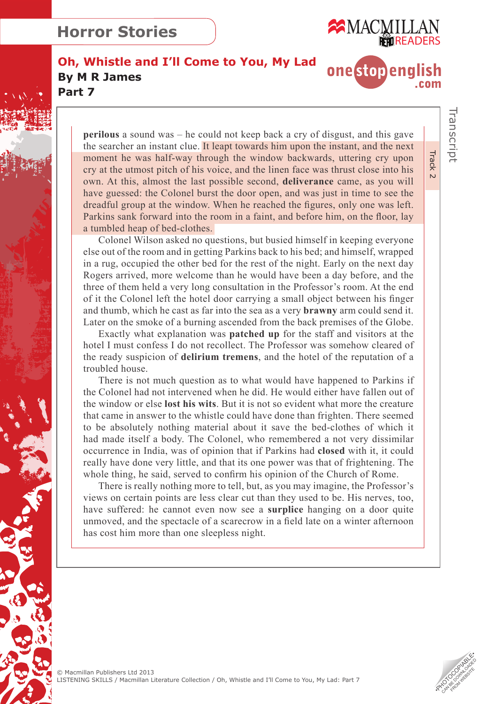

### **Oh, Whistle and I'll Come to You, My Lad By M R James Part 7**

onestopenalish  $com$ 

**perilous** a sound was – he could not keep back a cry of disgust, and this gave the searcher an instant clue. It leapt towards him upon the instant, and the next moment he was half-way through the window backwards, uttering cry upon cry at the utmost pitch of his voice, and the linen face was thrust close into his own. At this, almost the last possible second, **deliverance** came, as you will have guessed: the Colonel burst the door open, and was just in time to see the dreadful group at the window. When he reached the figures, only one was left. Parkins sank forward into the room in a faint, and before him, on the floor, lay a tumbled heap of bed-clothes.

Colonel Wilson asked no questions, but busied himself in keeping everyone else out of the room and in getting Parkins back to his bed; and himself, wrapped in a rug, occupied the other bed for the rest of the night. Early on the next day Rogers arrived, more welcome than he would have been a day before, and the three of them held a very long consultation in the Professor's room. At the end of it the Colonel left the hotel door carrying a small object between his finger and thumb, which he cast as far into the sea as a very **brawny** arm could send it. Later on the smoke of a burning ascended from the back premises of the Globe.

Exactly what explanation was **patched up** for the staff and visitors at the hotel I must confess I do not recollect. The Professor was somehow cleared of the ready suspicion of **delirium tremens**, and the hotel of the reputation of a troubled house.

There is not much question as to what would have happened to Parkins if the Colonel had not intervened when he did. He would either have fallen out of the window or else **lost his wits**. But it is not so evident what more the creature that came in answer to the whistle could have done than frighten. There seemed to be absolutely nothing material about it save the bed-clothes of which it had made itself a body. The Colonel, who remembered a not very dissimilar occurrence in India, was of opinion that if Parkins had **closed** with it, it could really have done very little, and that its one power was that of frightening. The whole thing, he said, served to confirm his opinion of the Church of Rome.

There is really nothing more to tell, but, as you may imagine, the Professor's views on certain points are less clear cut than they used to be. His nerves, too, have suffered: he cannot even now see a **surplice** hanging on a door quite unmoved, and the spectacle of a scarecrow in a field late on a winter afternoon has cost him more than one sleepless night.



© Macmillan Publishers Ltd 2013 LISTENING SKILLS / Macmillan Literature Collection / Oh, Whistle and I'll Come to You, My Lad: Part 7 **Track** 

**Transcript**